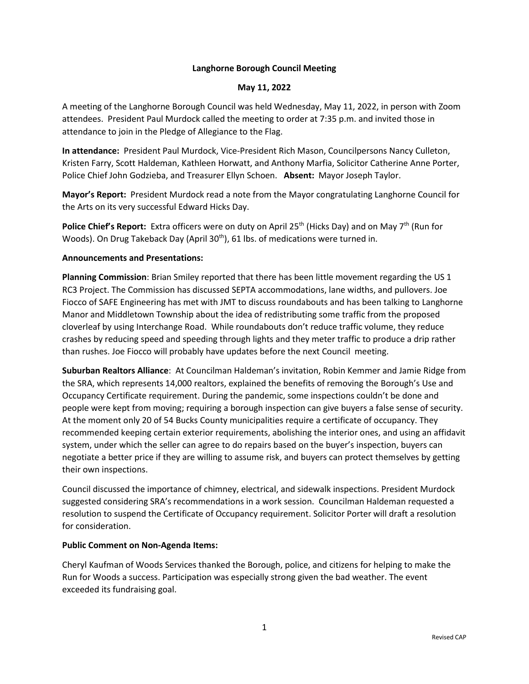# **Langhorne Borough Council Meeting**

### **May 11, 2022**

A meeting of the Langhorne Borough Council was held Wednesday, May 11, 2022, in person with Zoom attendees. President Paul Murdock called the meeting to order at 7:35 p.m. and invited those in attendance to join in the Pledge of Allegiance to the Flag.

**In attendance:** President Paul Murdock, Vice-President Rich Mason, Councilpersons Nancy Culleton, Kristen Farry, Scott Haldeman, Kathleen Horwatt, and Anthony Marfia, Solicitor Catherine Anne Porter, Police Chief John Godzieba, and Treasurer Ellyn Schoen. **Absent:** Mayor Joseph Taylor.

**Mayor's Report:** President Murdock read a note from the Mayor congratulating Langhorne Council for the Arts on its very successful Edward Hicks Day.

**Police Chief's Report:** Extra officers were on duty on April 25<sup>th</sup> (Hicks Day) and on May 7<sup>th</sup> (Run for Woods). On Drug Takeback Day (April 30<sup>th</sup>), 61 lbs. of medications were turned in.

## **Announcements and Presentations:**

**Planning Commission**: Brian Smiley reported that there has been little movement regarding the US 1 RC3 Project. The Commission has discussed SEPTA accommodations, lane widths, and pullovers. Joe Fiocco of SAFE Engineering has met with JMT to discuss roundabouts and has been talking to Langhorne Manor and Middletown Township about the idea of redistributing some traffic from the proposed cloverleaf by using Interchange Road. While roundabouts don't reduce traffic volume, they reduce crashes by reducing speed and speeding through lights and they meter traffic to produce a drip rather than rushes. Joe Fiocco will probably have updates before the next Council meeting.

**Suburban Realtors Alliance**: At Councilman Haldeman's invitation, Robin Kemmer and Jamie Ridge from the SRA, which represents 14,000 realtors, explained the benefits of removing the Borough's Use and Occupancy Certificate requirement. During the pandemic, some inspections couldn't be done and people were kept from moving; requiring a borough inspection can give buyers a false sense of security. At the moment only 20 of 54 Bucks County municipalities require a certificate of occupancy. They recommended keeping certain exterior requirements, abolishing the interior ones, and using an affidavit system, under which the seller can agree to do repairs based on the buyer's inspection, buyers can negotiate a better price if they are willing to assume risk, and buyers can protect themselves by getting their own inspections.

Council discussed the importance of chimney, electrical, and sidewalk inspections. President Murdock suggested considering SRA's recommendations in a work session. Councilman Haldeman requested a resolution to suspend the Certificate of Occupancy requirement. Solicitor Porter will draft a resolution for consideration.

#### **Public Comment on Non-Agenda Items:**

Cheryl Kaufman of Woods Services thanked the Borough, police, and citizens for helping to make the Run for Woods a success. Participation was especially strong given the bad weather. The event exceeded its fundraising goal.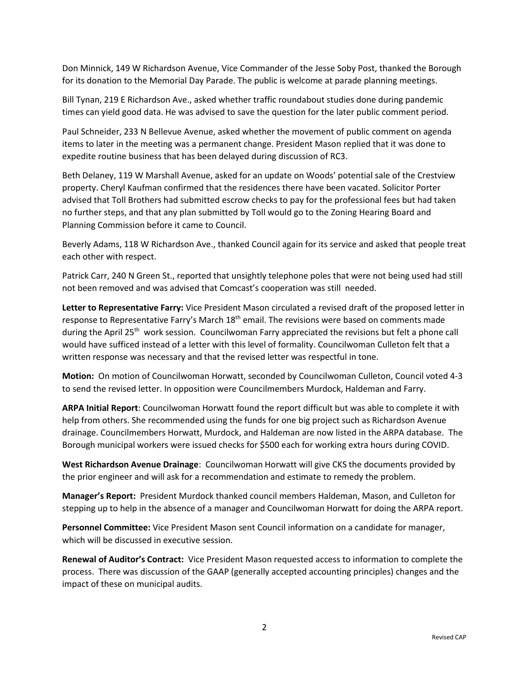Don Minnick, 149 W Richardson Avenue, Vice Commander of the Jesse Soby Post, thanked the Borough for its donation to the Memorial Day Parade. The public is welcome at parade planning meetings.

Bill Tynan, 219 E Richardson Ave., asked whether traffic roundabout studies done during pandemic times can yield good data. He was advised to save the question for the later public comment period.

Paul Schneider, 233 N Bellevue Avenue, asked whether the movement of public comment on agenda items to later in the meeting was a permanent change. President Mason replied that it was done to expedite routine business that has been delayed during discussion of RC3.

Beth Delaney, 119 W Marshall Avenue, asked for an update on Woods' potential sale of the Crestview property. Cheryl Kaufman confirmed that the residences there have been vacated. Solicitor Porter advised that Toll Brothers had submitted escrow checks to pay for the professional fees but had taken no further steps, and that any plan submitted by Toll would go to the Zoning Hearing Board and Planning Commission before it came to Council.

Beverly Adams, 118 W Richardson Ave., thanked Council again for its service and asked that people treat each other with respect.

Patrick Carr, 240 N Green St., reported that unsightly telephone poles that were not being used had still not been removed and was advised that Comcast's cooperation was still needed.

**Letter to Representative Farry:** Vice President Mason circulated a revised draft of the proposed letter in response to Representative Farry's March  $18<sup>th</sup>$  email. The revisions were based on comments made during the April 25<sup>th</sup> work session. Councilwoman Farry appreciated the revisions but felt a phone call would have sufficed instead of a letter with this level of formality. Councilwoman Culleton felt that a written response was necessary and that the revised letter was respectful in tone.

**Motion:** On motion of Councilwoman Horwatt, seconded by Councilwoman Culleton, Council voted 4-3 to send the revised letter. In opposition were Councilmembers Murdock, Haldeman and Farry.

**ARPA Initial Report**: Councilwoman Horwatt found the report difficult but was able to complete it with help from others. She recommended using the funds for one big project such as Richardson Avenue drainage. Councilmembers Horwatt, Murdock, and Haldeman are now listed in the ARPA database. The Borough municipal workers were issued checks for \$500 each for working extra hours during COVID.

**West Richardson Avenue Drainage**: Councilwoman Horwatt will give CKS the documents provided by the prior engineer and will ask for a recommendation and estimate to remedy the problem.

**Manager's Report:** President Murdock thanked council members Haldeman, Mason, and Culleton for stepping up to help in the absence of a manager and Councilwoman Horwatt for doing the ARPA report.

**Personnel Committee:** Vice President Mason sent Council information on a candidate for manager, which will be discussed in executive session.

**Renewal of Auditor's Contract:** Vice President Mason requested access to information to complete the process. There was discussion of the GAAP (generally accepted accounting principles) changes and the impact of these on municipal audits.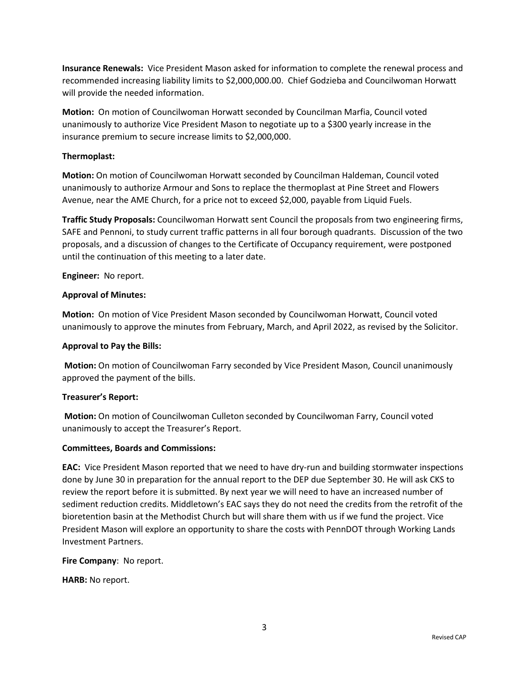**Insurance Renewals:** Vice President Mason asked for information to complete the renewal process and recommended increasing liability limits to \$2,000,000.00. Chief Godzieba and Councilwoman Horwatt will provide the needed information.

**Motion:** On motion of Councilwoman Horwatt seconded by Councilman Marfia, Council voted unanimously to authorize Vice President Mason to negotiate up to a \$300 yearly increase in the insurance premium to secure increase limits to \$2,000,000.

### **Thermoplast:**

**Motion:** On motion of Councilwoman Horwatt seconded by Councilman Haldeman, Council voted unanimously to authorize Armour and Sons to replace the thermoplast at Pine Street and Flowers Avenue, near the AME Church, for a price not to exceed \$2,000, payable from Liquid Fuels.

**Traffic Study Proposals:** Councilwoman Horwatt sent Council the proposals from two engineering firms, SAFE and Pennoni, to study current traffic patterns in all four borough quadrants. Discussion of the two proposals, and a discussion of changes to the Certificate of Occupancy requirement, were postponed until the continuation of this meeting to a later date.

**Engineer:** No report.

## **Approval of Minutes:**

**Motion:** On motion of Vice President Mason seconded by Councilwoman Horwatt, Council voted unanimously to approve the minutes from February, March, and April 2022, as revised by the Solicitor.

### **Approval to Pay the Bills:**

**Motion:** On motion of Councilwoman Farry seconded by Vice President Mason, Council unanimously approved the payment of the bills.

# **Treasurer's Report:**

**Motion:** On motion of Councilwoman Culleton seconded by Councilwoman Farry, Council voted unanimously to accept the Treasurer's Report.

#### **Committees, Boards and Commissions:**

**EAC:** Vice President Mason reported that we need to have dry-run and building stormwater inspections done by June 30 in preparation for the annual report to the DEP due September 30. He will ask CKS to review the report before it is submitted. By next year we will need to have an increased number of sediment reduction credits. Middletown's EAC says they do not need the credits from the retrofit of the bioretention basin at the Methodist Church but will share them with us if we fund the project. Vice President Mason will explore an opportunity to share the costs with PennDOT through Working Lands Investment Partners.

**Fire Company**: No report.

**HARB:** No report.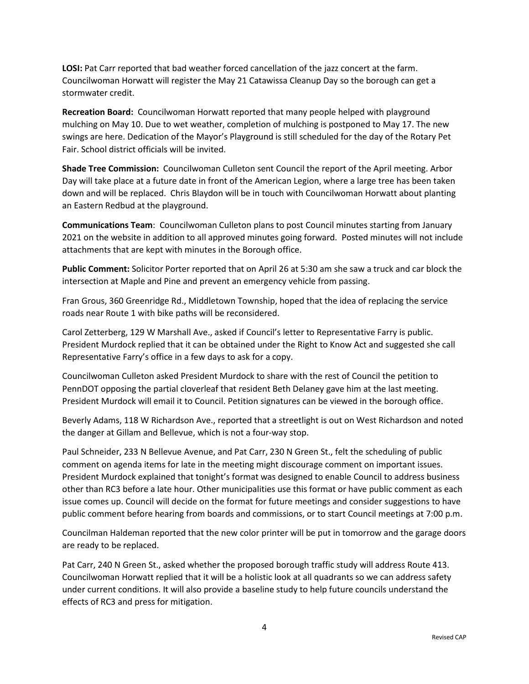LOSI: Pat Carr reported that bad weather forced cancellation of the jazz concert at the farm. Councilwoman Horwatt will register the May 21 Catawissa Cleanup Day so the borough can get a stormwater credit.

**Recreation Board:** Councilwoman Horwatt reported that many people helped with playground mulching on May 10. Due to wet weather, completion of mulching is postponed to May 17. The new swings are here. Dedication of the Mayor's Playground is still scheduled for the day of the Rotary Pet Fair. School district officials will be invited.

**Shade Tree Commission:** Councilwoman Culleton sent Council the report of the April meeting. Arbor Day will take place at a future date in front of the American Legion, where a large tree has been taken down and will be replaced. Chris Blaydon will be in touch with Councilwoman Horwatt about planting an Eastern Redbud at the playground.

**Communications Team**: Councilwoman Culleton plans to post Council minutes starting from January 2021 on the website in addition to all approved minutes going forward. Posted minutes will not include attachments that are kept with minutes in the Borough office.

**Public Comment:** Solicitor Porter reported that on April 26 at 5:30 am she saw a truck and car block the intersection at Maple and Pine and prevent an emergency vehicle from passing.

Fran Grous, 360 Greenridge Rd., Middletown Township, hoped that the idea of replacing the service roads near Route 1 with bike paths will be reconsidered.

Carol Zetterberg, 129 W Marshall Ave., asked if Council's letter to Representative Farry is public. President Murdock replied that it can be obtained under the Right to Know Act and suggested she call Representative Farry's office in a few days to ask for a copy.

Councilwoman Culleton asked President Murdock to share with the rest of Council the petition to PennDOT opposing the partial cloverleaf that resident Beth Delaney gave him at the last meeting. President Murdock will email it to Council. Petition signatures can be viewed in the borough office.

Beverly Adams, 118 W Richardson Ave., reported that a streetlight is out on West Richardson and noted the danger at Gillam and Bellevue, which is not a four-way stop.

Paul Schneider, 233 N Bellevue Avenue, and Pat Carr, 230 N Green St., felt the scheduling of public comment on agenda items for late in the meeting might discourage comment on important issues. President Murdock explained that tonight's format was designed to enable Council to address business other than RC3 before a late hour. Other municipalities use this format or have public comment as each issue comes up. Council will decide on the format for future meetings and consider suggestions to have public comment before hearing from boards and commissions, or to start Council meetings at 7:00 p.m.

Councilman Haldeman reported that the new color printer will be put in tomorrow and the garage doors are ready to be replaced.

Pat Carr, 240 N Green St., asked whether the proposed borough traffic study will address Route 413. Councilwoman Horwatt replied that it will be a holistic look at all quadrants so we can address safety under current conditions. It will also provide a baseline study to help future councils understand the effects of RC3 and press for mitigation.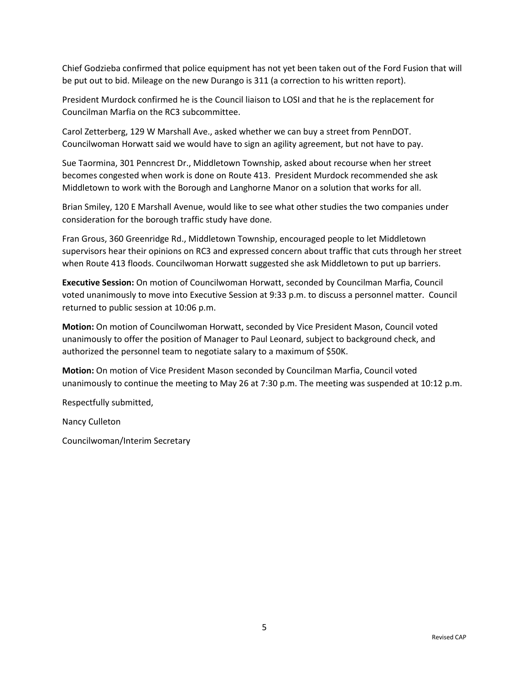Chief Godzieba confirmed that police equipment has not yet been taken out of the Ford Fusion that will be put out to bid. Mileage on the new Durango is 311 (a correction to his written report).

President Murdock confirmed he is the Council liaison to LOSI and that he is the replacement for Councilman Marfia on the RC3 subcommittee.

Carol Zetterberg, 129 W Marshall Ave., asked whether we can buy a street from PennDOT. Councilwoman Horwatt said we would have to sign an agility agreement, but not have to pay.

Sue Taormina, 301 Penncrest Dr., Middletown Township, asked about recourse when her street becomes congested when work is done on Route 413. President Murdock recommended she ask Middletown to work with the Borough and Langhorne Manor on a solution that works for all.

Brian Smiley, 120 E Marshall Avenue, would like to see what other studies the two companies under consideration for the borough traffic study have done.

Fran Grous, 360 Greenridge Rd., Middletown Township, encouraged people to let Middletown supervisors hear their opinions on RC3 and expressed concern about traffic that cuts through her street when Route 413 floods. Councilwoman Horwatt suggested she ask Middletown to put up barriers.

**Executive Session:** On motion of Councilwoman Horwatt, seconded by Councilman Marfia, Council voted unanimously to move into Executive Session at 9:33 p.m. to discuss a personnel matter. Council returned to public session at 10:06 p.m.

**Motion:** On motion of Councilwoman Horwatt, seconded by Vice President Mason, Council voted unanimously to offer the position of Manager to Paul Leonard, subject to background check, and authorized the personnel team to negotiate salary to a maximum of \$50K.

**Motion:** On motion of Vice President Mason seconded by Councilman Marfia, Council voted unanimously to continue the meeting to May 26 at 7:30 p.m. The meeting was suspended at 10:12 p.m.

Respectfully submitted,

Nancy Culleton

Councilwoman/Interim Secretary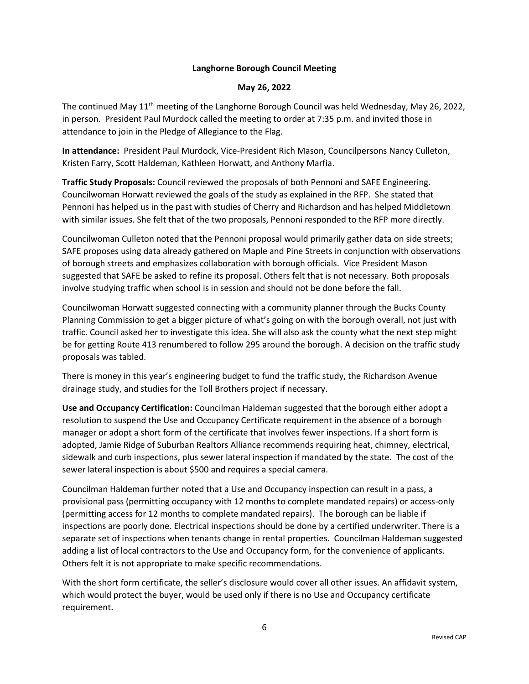# **Langhorne Borough Council Meeting**

### **May 26, 2022**

The continued May  $11<sup>th</sup>$  meeting of the Langhorne Borough Council was held Wednesday, May 26, 2022, in person. President Paul Murdock called the meeting to order at 7:35 p.m. and invited those in attendance to join in the Pledge of Allegiance to the Flag.

**In attendance:** President Paul Murdock, Vice-President Rich Mason, Councilpersons Nancy Culleton, Kristen Farry, Scott Haldeman, Kathleen Horwatt, and Anthony Marfia.

**Traffic Study Proposals:** Council reviewed the proposals of both Pennoni and SAFE Engineering. Councilwoman Horwatt reviewed the goals of the study as explained in the RFP. She stated that Pennoni has helped us in the past with studies of Cherry and Richardson and has helped Middletown with similar issues. She felt that of the two proposals, Pennoni responded to the RFP more directly.

Councilwoman Culleton noted that the Pennoni proposal would primarily gather data on side streets; SAFE proposes using data already gathered on Maple and Pine Streets in conjunction with observations of borough streets and emphasizes collaboration with borough officials. Vice President Mason suggested that SAFE be asked to refine its proposal. Others felt that is not necessary. Both proposals involve studying traffic when school is in session and should not be done before the fall.

Councilwoman Horwatt suggested connecting with a community planner through the Bucks County Planning Commission to get a bigger picture of what's going on with the borough overall, not just with traffic. Council asked her to investigate this idea. She will also ask the county what the next step might be for getting Route 413 renumbered to follow 295 around the borough. A decision on the traffic study proposals was tabled.

There is money in this year's engineering budget to fund the traffic study, the Richardson Avenue drainage study, and studies for the Toll Brothers project if necessary.

**Use and Occupancy Certification:** Councilman Haldeman suggested that the borough either adopt a resolution to suspend the Use and Occupancy Certificate requirement in the absence of a borough manager or adopt a short form of the certificate that involves fewer inspections. If a short form is adopted, Jamie Ridge of Suburban Realtors Alliance recommends requiring heat, chimney, electrical, sidewalk and curb inspections, plus sewer lateral inspection if mandated by the state. The cost of the sewer lateral inspection is about \$500 and requires a special camera.

Councilman Haldeman further noted that a Use and Occupancy inspection can result in a pass, a provisional pass (permitting occupancy with 12 months to complete mandated repairs) or access-only (permitting access for 12 months to complete mandated repairs). The borough can be liable if inspections are poorly done. Electrical inspections should be done by a certified underwriter. There is a separate set of inspections when tenants change in rental properties. Councilman Haldeman suggested adding a list of local contractors to the Use and Occupancy form, for the convenience of applicants. Others felt it is not appropriate to make specific recommendations.

With the short form certificate, the seller's disclosure would cover all other issues. An affidavit system, which would protect the buyer, would be used only if there is no Use and Occupancy certificate requirement.